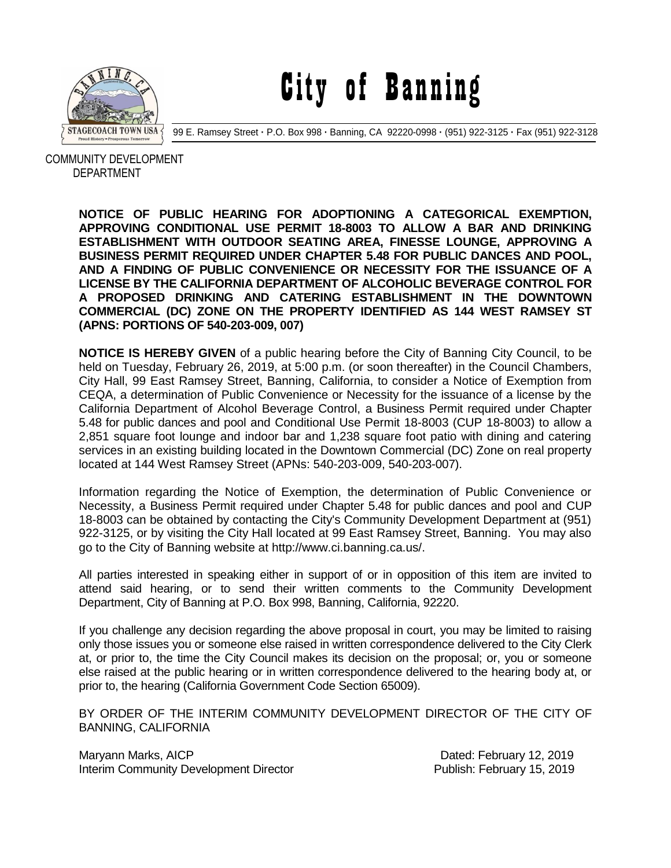

City of Banning

99 E. Ramsey Street **·** P.O. Box 998 **·** Banning, CA 92220-0998 **·** (951) 922-3125 **·** Fax (951) 922-3128

 COMMUNITY DEVELOPMENT DEPARTMENT

> **NOTICE OF PUBLIC HEARING FOR ADOPTIONING A CATEGORICAL EXEMPTION, APPROVING CONDITIONAL USE PERMIT 18-8003 TO ALLOW A BAR AND DRINKING ESTABLISHMENT WITH OUTDOOR SEATING AREA, FINESSE LOUNGE, APPROVING A BUSINESS PERMIT REQUIRED UNDER CHAPTER 5.48 FOR PUBLIC DANCES AND POOL, AND A FINDING OF PUBLIC CONVENIENCE OR NECESSITY FOR THE ISSUANCE OF A LICENSE BY THE CALIFORNIA DEPARTMENT OF ALCOHOLIC BEVERAGE CONTROL FOR A PROPOSED DRINKING AND CATERING ESTABLISHMENT IN THE DOWNTOWN COMMERCIAL (DC) ZONE ON THE PROPERTY IDENTIFIED AS 144 WEST RAMSEY ST (APNS: PORTIONS OF 540-203-009, 007)**

> **NOTICE IS HEREBY GIVEN** of a public hearing before the City of Banning City Council, to be held on Tuesday, February 26, 2019, at 5:00 p.m. (or soon thereafter) in the Council Chambers, City Hall, 99 East Ramsey Street, Banning, California, to consider a Notice of Exemption from CEQA, a determination of Public Convenience or Necessity for the issuance of a license by the California Department of Alcohol Beverage Control, a Business Permit required under Chapter 5.48 for public dances and pool and Conditional Use Permit 18-8003 (CUP 18-8003) to allow a 2,851 square foot lounge and indoor bar and 1,238 square foot patio with dining and catering services in an existing building located in the Downtown Commercial (DC) Zone on real property located at 144 West Ramsey Street (APNs: 540-203-009, 540-203-007).

> Information regarding the Notice of Exemption, the determination of Public Convenience or Necessity, a Business Permit required under Chapter 5.48 for public dances and pool and CUP 18-8003 can be obtained by contacting the City's Community Development Department at (951) 922-3125, or by visiting the City Hall located at 99 East Ramsey Street, Banning. You may also go to the City of Banning website at http://www.ci.banning.ca.us/.

> All parties interested in speaking either in support of or in opposition of this item are invited to attend said hearing, or to send their written comments to the Community Development Department, City of Banning at P.O. Box 998, Banning, California, 92220.

> If you challenge any decision regarding the above proposal in court, you may be limited to raising only those issues you or someone else raised in written correspondence delivered to the City Clerk at, or prior to, the time the City Council makes its decision on the proposal; or, you or someone else raised at the public hearing or in written correspondence delivered to the hearing body at, or prior to, the hearing (California Government Code Section 65009).

> BY ORDER OF THE INTERIM COMMUNITY DEVELOPMENT DIRECTOR OF THE CITY OF BANNING, CALIFORNIA

Maryann Marks, AICP **Dated: February 12, 2019** Interim Community Development Director Publish: February 15, 2019